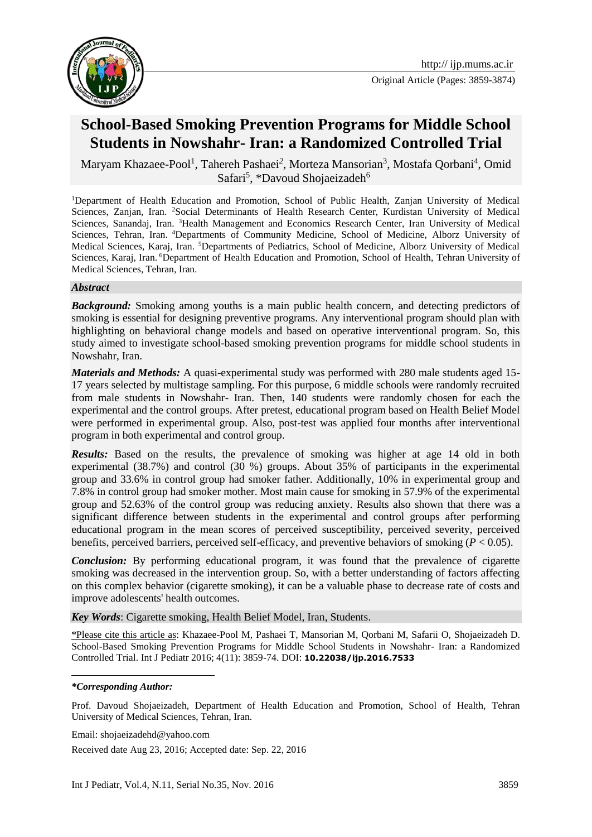

Original Article (Pages: 3859-3874)

# **School-Based Smoking Prevention Programs for Middle School Students in Nowshahr- Iran: a Randomized Controlled Trial**

Maryam Khazaee-Pool<sup>1</sup>, Tahereh Pashaei<sup>2</sup>, Morteza Mansorian<sup>3</sup>, Mostafa Qorbani<sup>4</sup>, Omid Safari<sup>5</sup>, \*Davoud Shojaeizadeh<sup>6</sup>

<sup>1</sup>Department of Health Education and Promotion, School of Public Health, Zanjan University of Medical Sciences, Zanjan, Iran. <sup>2</sup>Social Determinants of Health Research Center, Kurdistan University of Medical Sciences, Sanandaj, Iran. <sup>3</sup>Health Management and Economics Research Center, Iran University of Medical Sciences, Tehran, Iran. <sup>4</sup>Departments of Community Medicine, School of Medicine, Alborz University of Medical Sciences, Karaj, Iran. <sup>5</sup>Departments of Pediatrics, School of Medicine, Alborz University of Medical Sciences, Karaj, Iran. <sup>6</sup>Department of Health Education and Promotion, School of Health, Tehran University of Medical Sciences, Tehran, Iran.

#### *Abstract*

**Background:** Smoking among youths is a main public health concern, and detecting predictors of smoking is essential for designing preventive programs. Any interventional program should plan with highlighting on behavioral change models and based on operative interventional program. So, this study aimed to investigate school-based smoking prevention programs for middle school students in Nowshahr, Iran.

*Materials and Methods:* A quasi-experimental study was performed with 280 male students aged 15- 17 years selected by multistage sampling. For this purpose, 6 middle schools were randomly recruited from male students in Nowshahr- Iran. Then, 140 students were randomly chosen for each the experimental and the control groups. After pretest, educational program based on Health Belief Model were performed in experimental group. Also, post-test was applied four months after interventional program in both experimental and control group.

*Results:* Based on the results, the prevalence of smoking was higher at age 14 old in both experimental (38.7%) and control (30 %) groups. About 35% of participants in the experimental group and 33.6% in control group had smoker father. Additionally, 10% in experimental group and 7.8% in control group had smoker mother. Most main cause for smoking in 57.9% of the experimental group and 52.63% of the control group was reducing anxiety. Results also shown that there was a significant difference between students in the experimental and control groups after performing educational program in the mean scores of perceived susceptibility, perceived severity, perceived benefits, perceived barriers, perceived self-efficacy, and preventive behaviors of smoking (*P* < 0.05).

*Conclusion:* By performing educational program, it was found that the prevalence of cigarette smoking was decreased in the intervention group. So, with a better understanding of factors affecting on this complex behavior (cigarette smoking), it can be a valuable phase to decrease rate of costs and improve adolescents' health outcomes.

*Key Words*: Cigarette smoking, Health Belief Model, Iran, Students.

\*Please cite this article as: Khazaee-Pool M*,* Pashaei T*,* Mansorian M, Qorbani M, Safarii O, Shojaeizadeh D. School-Based Smoking Prevention Programs for Middle School Students in Nowshahr- Iran: a Randomized Controlled Trial. Int J Pediatr 2016; 4(11): 3859-74. DOI: **10.22038/ijp.2016.7533**

1

Prof. Davoud Shojaeizadeh, Department of Health Education and Promotion, School of Health, Tehran University of Medical Sciences, Tehran, Iran.

Email: shojaeizadehd@yahoo.com

Received date Aug 23, 2016; Accepted date: Sep. 22, 2016

*<sup>\*</sup>Corresponding Author:*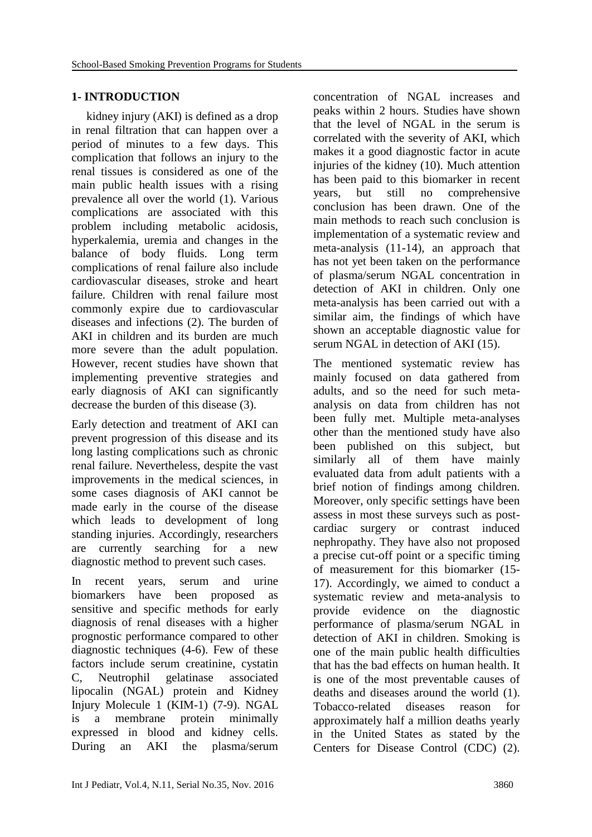#### **1- INTRODUCTION**

 kidney injury (AKI) is defined as a drop in renal filtration that can happen over a period of minutes to a few days. This complication that follows an injury to the renal tissues is considered as one of the main public health issues with a rising prevalence all over the world (1). Various complications are associated with this problem including metabolic acidosis, hyperkalemia, uremia and changes in the balance of body fluids. Long term complications of renal failure also include cardiovascular diseases, stroke and heart failure. Children with renal failure most commonly expire due to cardiovascular diseases and infections (2). The burden of AKI in children and its burden are much more severe than the adult population. However, recent studies have shown that implementing preventive strategies and early diagnosis of AKI can significantly decrease the burden of this disease (3).

Early detection and treatment of AKI can prevent progression of this disease and its long lasting complications such as chronic renal failure. Nevertheless, despite the vast improvements in the medical sciences, in some cases diagnosis of AKI cannot be made early in the course of the disease which leads to development of long standing injuries. Accordingly, researchers are currently searching for a new diagnostic method to prevent such cases.

In recent years, serum and urine biomarkers have been proposed as sensitive and specific methods for early diagnosis of renal diseases with a higher prognostic performance compared to other diagnostic techniques (4-6). Few of these factors include serum creatinine, cystatin C, Neutrophil gelatinase associated lipocalin (NGAL) protein and Kidney Injury Molecule 1 (KIM-1) (7-9). NGAL is a membrane protein minimally expressed in blood and kidney cells. During an AKI the plasma/serum

concentration of NGAL increases and peaks within 2 hours. Studies have shown that the level of NGAL in the serum is correlated with the severity of AKI, which makes it a good diagnostic factor in acute injuries of the kidney (10). Much attention has been paid to this biomarker in recent years, but still no comprehensive conclusion has been drawn. One of the main methods to reach such conclusion is implementation of a systematic review and meta-analysis (11-14), an approach that has not yet been taken on the performance of plasma/serum NGAL concentration in detection of AKI in children. Only one meta-analysis has been carried out with a similar aim, the findings of which have shown an acceptable diagnostic value for serum NGAL in detection of AKI (15).

The mentioned systematic review has mainly focused on data gathered from adults, and so the need for such metaanalysis on data from children has not been fully met. Multiple meta-analyses other than the mentioned study have also been published on this subject, but similarly all of them have mainly evaluated data from adult patients with a brief notion of findings among children. Moreover, only specific settings have been assess in most these surveys such as postcardiac surgery or contrast induced nephropathy. They have also not proposed a precise cut-off point or a specific timing of measurement for this biomarker (15- 17). Accordingly, we aimed to conduct a systematic review and meta-analysis to provide evidence on the diagnostic performance of plasma/serum NGAL in detection of AKI in children. Smoking is one of the main public health difficulties that has the bad effects on human health. It is one of the most preventable causes of deaths and diseases around the world (1). Tobacco-related diseases reason for approximately half a million deaths yearly in the United States as stated by the Centers for Disease Control (CDC) (2).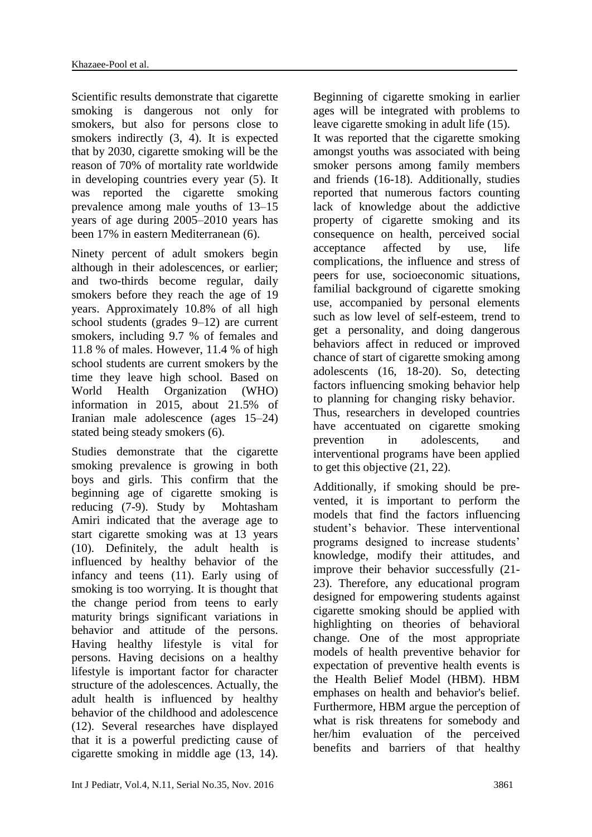Scientific results demonstrate that cigarette smoking is dangerous not only for smokers, but also for persons close to smokers indirectly (3, 4). It is expected that by 2030, cigarette smoking will be the reason of 70% of mortality rate worldwide in developing countries every year (5). It was reported the cigarette smoking prevalence among male youths of 13–15 years of age during 2005–2010 years has been 17% in eastern Mediterranean (6).

Ninety percent of adult smokers begin although in their adolescences, or earlier; and two-thirds become regular, daily smokers before they reach the age of 19 years. Approximately 10.8% of all high school students (grades 9–12) are current smokers, including 9.7 % of females and 11.8 % of males. However, 11.4 % of high school students are current smokers by the time they leave high school. Based on World Health Organization (WHO) information in 2015, about 21.5% of Iranian male adolescence (ages 15–24) stated being steady smokers (6).

Studies demonstrate that the cigarette smoking prevalence is growing in both boys and girls. This confirm that the beginning age of cigarette smoking is reducing (7-9). Study by Mohtasham Amiri indicated that the average age to start cigarette smoking was at 13 years (10). Definitely, the adult health is influenced by healthy behavior of the infancy and teens (11). Early using of smoking is too worrying. It is thought that the change period from teens to early maturity brings significant variations in behavior and attitude of the persons. Having healthy lifestyle is vital for persons. Having decisions on a healthy lifestyle is important factor for character structure of the adolescences. Actually, the adult health is influenced by healthy behavior of the childhood and adolescence (12). Several researches have displayed that it is a powerful predicting cause of cigarette smoking in middle age (13, 14).

Beginning of cigarette smoking in earlier ages will be integrated with problems to leave cigarette smoking in adult life (15). It was reported that the cigarette smoking amongst youths was associated with being smoker persons among family members and friends (16-18). Additionally, studies reported that numerous factors counting lack of knowledge about the addictive property of cigarette smoking and its consequence on health, perceived social acceptance affected by use, life complications, the influence and stress of peers for use, socioeconomic situations, familial background of cigarette smoking use, accompanied by personal elements such as low level of self-esteem, trend to get a personality, and doing dangerous behaviors affect in reduced or improved chance of start of cigarette smoking among adolescents (16, 18-20). So, detecting factors influencing smoking behavior help to planning for changing risky behavior. Thus, researchers in developed countries have accentuated on cigarette smoking prevention in adolescents, and interventional programs have been applied to get this objective (21, 22).

Additionally, if smoking should be prevented, it is important to perform the models that find the factors influencing student's behavior. These interventional programs designed to increase students' knowledge, modify their attitudes, and improve their behavior successfully (21- 23). Therefore, any educational program designed for empowering students against cigarette smoking should be applied with highlighting on theories of behavioral change. One of the most appropriate models of health preventive behavior for expectation of preventive health events is the Health Belief Model (HBM). HBM emphases on health and behavior's belief. Furthermore, HBM argue the perception of what is risk threatens for somebody and her/him evaluation of the perceived benefits and barriers of that healthy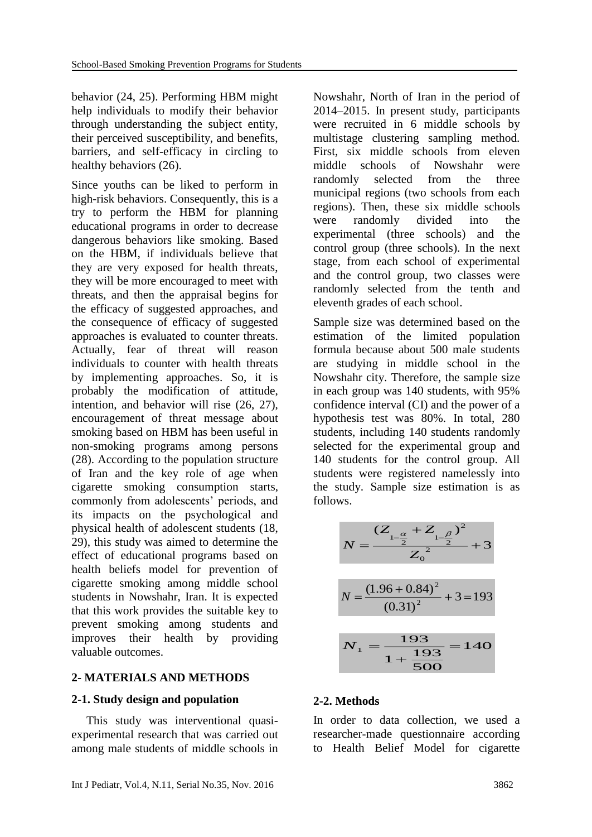behavior (24, 25). Performing HBM might help individuals to modify their behavior through understanding the subject entity, their perceived susceptibility, and benefits, barriers, and self-efficacy in circling to healthy behaviors (26).

Since youths can be liked to perform in high-risk behaviors. Consequently, this is a try to perform the HBM for planning educational programs in order to decrease dangerous behaviors like smoking. Based on the HBM, if individuals believe that they are very exposed for health threats, they will be more encouraged to meet with threats, and then the appraisal begins for the efficacy of suggested approaches, and the consequence of efficacy of suggested approaches is evaluated to counter threats. Actually, fear of threat will reason individuals to counter with health threats by implementing approaches. So, it is probably the modification of attitude, intention, and behavior will rise (26, 27), encouragement of threat message about smoking based on HBM has been useful in non-smoking programs among persons (28). According to the population structure of Iran and the key role of age when cigarette smoking consumption starts, commonly from adolescents' periods, and its impacts on the psychological and physical health of adolescent students (18, 29), this study was aimed to determine the effect of educational programs based on health beliefs model for prevention of cigarette smoking among middle school students in Nowshahr, Iran. It is expected that this work provides the suitable key to prevent smoking among students and improves their health by providing valuable outcomes.

#### **2- MATERIALS AND METHODS**

#### **2-1. Study design and population**

 This study was interventional quasiexperimental research that was carried out among male students of middle schools in Nowshahr, North of Iran in the period of 2014–2015. In present study, participants were recruited in 6 middle schools by multistage clustering sampling method. First, six middle schools from eleven middle schools of Nowshahr were randomly selected from the three municipal regions (two schools from each regions). Then, these six middle schools were randomly divided into the experimental (three schools) and the control group (three schools). In the next stage, from each school of experimental and the control group, two classes were randomly selected from the tenth and eleventh grades of each school.

Sample size was determined based on the estimation of the limited population formula because about 500 male students are studying in middle school in the Nowshahr city. Therefore, the sample size in each group was 140 students, with 95% confidence interval (CI) and the power of a hypothesis test was 80%. In total, 280 students, including 140 students randomly selected for the experimental group and 140 students for the control group. All students were registered namelessly into the study. Sample size estimation is as follows.

$$
N = \frac{(Z_{1-\frac{\alpha}{2}} + Z_{1-\frac{\beta}{2}})^2}{Z_0^2} + 3
$$
  

$$
N = \frac{(1.96 + 0.84)^2}{(0.31)^2} + 3 = 193
$$
  

$$
N_1 = \frac{193}{1 + \frac{193}{500}} = 140
$$

#### **2-2. Methods**

In order to data collection, we used a researcher-made questionnaire according to Health Belief Model for cigarette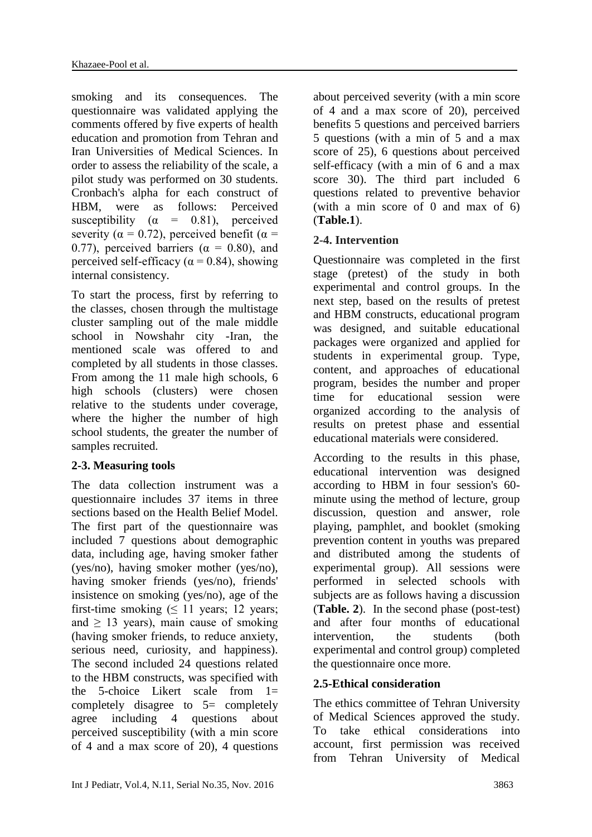smoking and its consequences. The questionnaire was validated applying the comments offered by five experts of health education and promotion from Tehran and Iran Universities of Medical Sciences. In order to assess the reliability of the scale, a pilot study was performed on 30 students. Cronbach's alpha for each construct of HBM, were as follows: Perceived susceptibility ( $\alpha$  = 0.81), perceived severity ( $\alpha = 0.72$ ), perceived benefit ( $\alpha =$ 0.77), perceived barriers ( $\alpha = 0.80$ ), and perceived self-efficacy ( $\alpha$  = 0.84), showing internal consistency.

To start the process, first by referring to the classes, chosen through the multistage cluster sampling out of the male middle school in Nowshahr city -Iran, the mentioned scale was offered to and completed by all students in those classes. From among the 11 male high schools, 6 high schools (clusters) were chosen relative to the students under coverage, where the higher the number of high school students, the greater the number of samples recruited.

#### **2-3. Measuring tools**

The data collection instrument was a questionnaire includes 37 items in three sections based on the Health Belief Model. The first part of the questionnaire was included 7 questions about demographic data, including age, having smoker father (yes/no), having smoker mother (yes/no), having smoker friends (yes/no), friends' insistence on smoking (yes/no), age of the first-time smoking  $( \leq 11 \text{ years}; 12 \text{ years};$ and  $\geq$  13 years), main cause of smoking (having smoker friends, to reduce anxiety, serious need, curiosity, and happiness). The second included 24 questions related to the HBM constructs, was specified with the 5-choice Likert scale from 1= completely disagree to 5= completely agree including 4 questions about perceived susceptibility (with a min score of 4 and a max score of 20), 4 questions

about perceived severity (with a min score of 4 and a max score of 20), perceived benefits 5 questions and perceived barriers 5 questions (with a min of 5 and a max score of 25), 6 questions about perceived self-efficacy (with a min of 6 and a max score 30). The third part included 6 questions related to preventive behavior (with a min score of 0 and max of 6) (**Table.1**).

# **2-4. Intervention**

Questionnaire was completed in the first stage (pretest) of the study in both experimental and control groups. In the next step, based on the results of pretest and HBM constructs, educational program was designed, and suitable educational packages were organized and applied for students in experimental group. Type, content, and approaches of educational program, besides the number and proper time for educational session were organized according to the analysis of results on pretest phase and essential educational materials were considered.

According to the results in this phase, educational intervention was designed according to HBM in four session's 60 minute using the method of lecture, group discussion, question and answer, role playing, pamphlet, and booklet (smoking prevention content in youths was prepared and distributed among the students of experimental group). All sessions were performed in selected schools with subjects are as follows having a discussion (**Table. 2**). In the second phase (post-test) and after four months of educational intervention, the students (both experimental and control group) completed the questionnaire once more.

# **2.5-Ethical consideration**

The ethics committee of Tehran University of Medical Sciences approved the study. To take ethical considerations into account, first permission was received from Tehran University of Medical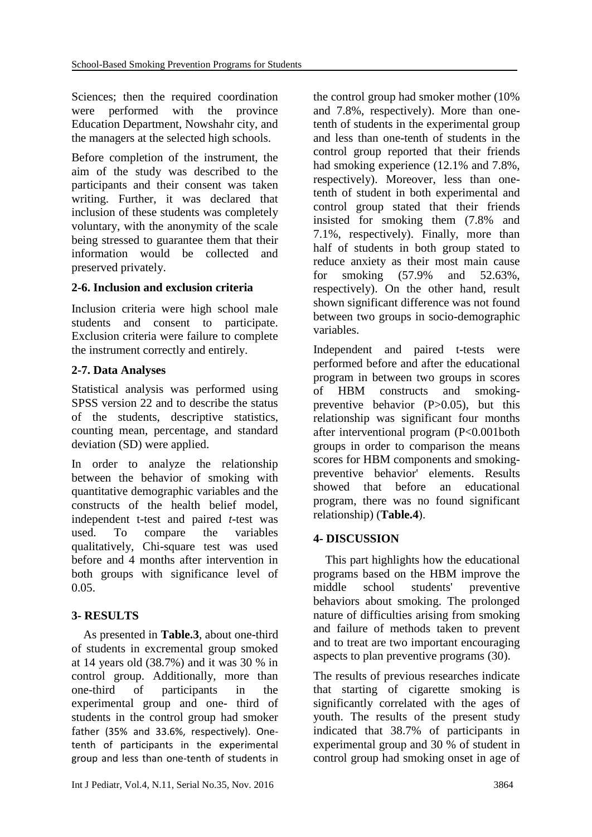Sciences; then the required coordination were performed with the province Education Department, Nowshahr city, and the managers at the selected high schools.

Before completion of the instrument, the aim of the study was described to the participants and their consent was taken writing. Further, it was declared that inclusion of these students was completely voluntary, with the anonymity of the scale being stressed to guarantee them that their information would be collected and preserved privately.

### **2-6. Inclusion and exclusion criteria**

Inclusion criteria were high school male students and consent to participate. Exclusion criteria were failure to complete the instrument correctly and entirely.

### **2-7. Data Analyses**

Statistical analysis was performed using SPSS version 22 and to describe the status of the students, descriptive statistics, counting mean, percentage, and standard deviation (SD) were applied.

In order to analyze the relationship between the behavior of smoking with quantitative demographic variables and the constructs of the health belief model, independent t-test and paired *t*-test was used. To compare the variables qualitatively, Chi-square test was used before and 4 months after intervention in both groups with significance level of 0.05.

# **3- RESULTS**

 As presented in **Table.3**, about one-third of students in excremental group smoked at 14 years old (38.7%) and it was 30 % in control group. Additionally, more than one-third of participants in the experimental group and one- third of students in the control group had smoker father (35% and 33.6%, respectively). Onetenth of participants in the experimental group and less than one-tenth of students in

the control group had smoker mother (10% and 7.8%, respectively). More than onetenth of students in the experimental group and less than one-tenth of students in the control group reported that their friends had smoking experience (12.1% and 7.8%, respectively). Moreover, less than onetenth of student in both experimental and control group stated that their friends insisted for smoking them (7.8% and 7.1%, respectively). Finally, more than half of students in both group stated to reduce anxiety as their most main cause for smoking (57.9% and 52.63%, respectively). On the other hand, result shown significant difference was not found between two groups in socio-demographic variables.

Independent and paired t-tests were performed before and after the educational program in between two groups in scores of HBM constructs and smokingpreventive behavior (P>0.05), but this relationship was significant four months after interventional program (P<0.001both groups in order to comparison the means scores for HBM components and smokingpreventive behavior' elements. Results showed that before an educational program, there was no found significant relationship) (**Table.4**).

# **4- DISCUSSION**

 This part highlights how the educational programs based on the HBM improve the middle school students' preventive behaviors about smoking. The prolonged nature of difficulties arising from smoking and failure of methods taken to prevent and to treat are two important encouraging aspects to plan preventive programs (30).

The results of previous researches indicate that starting of cigarette smoking is significantly correlated with the ages of youth. The results of the present study indicated that 38.7% of participants in experimental group and 30 % of student in control group had smoking onset in age of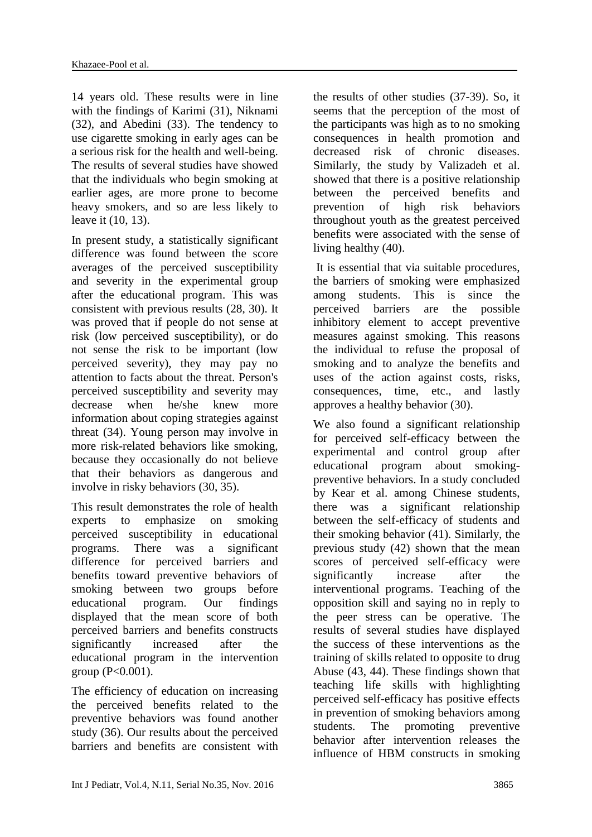14 years old. These results were in line with the findings of Karimi (31), Niknami (32), and Abedini (33). The tendency to use cigarette smoking in early ages can be a serious risk for the health and well-being. The results of several studies have showed that the individuals who begin smoking at earlier ages, are more prone to become heavy smokers, and so are less likely to leave it (10, 13).

In present study, a statistically significant difference was found between the score averages of the perceived susceptibility and severity in the experimental group after the educational program. This was consistent with previous results (28, 30). It was proved that if people do not sense at risk (low perceived susceptibility), or do not sense the risk to be important (low perceived severity), they may pay no attention to facts about the threat. Person's perceived susceptibility and severity may decrease when he/she knew more information about coping strategies against threat (34). Young person may involve in more risk-related behaviors like smoking, because they occasionally do not believe that their behaviors as dangerous and involve in risky behaviors (30, 35).

This result demonstrates the role of health experts to emphasize on smoking perceived susceptibility in educational programs. There was a significant difference for perceived barriers and benefits toward preventive behaviors of smoking between two groups before educational program. Our findings displayed that the mean score of both perceived barriers and benefits constructs significantly increased after the educational program in the intervention group  $(P<0.001)$ .

The efficiency of education on increasing the perceived benefits related to the preventive behaviors was found another study (36). Our results about the perceived barriers and benefits are consistent with

the results of other studies (37-39). So, it seems that the perception of the most of the participants was high as to no smoking consequences in health promotion and decreased risk of chronic diseases. Similarly, the study by Valizadeh et al. showed that there is a positive relationship between the perceived benefits and prevention of high risk behaviors throughout youth as the greatest perceived benefits were associated with the sense of living healthy (40).

It is essential that via suitable procedures, the barriers of smoking were emphasized among students. This is since the perceived barriers are the possible inhibitory element to accept preventive measures against smoking. This reasons the individual to refuse the proposal of smoking and to analyze the benefits and uses of the action against costs, risks, consequences, time, etc., and lastly approves a healthy behavior (30).

We also found a significant relationship for perceived self-efficacy between the experimental and control group after educational program about smokingpreventive behaviors. In a study concluded by Kear et al. among Chinese students, there was a significant relationship between the self-efficacy of students and their smoking behavior (41). Similarly, the previous study (42) shown that the mean scores of perceived self-efficacy were significantly increase after the interventional programs. Teaching of the opposition skill and saying no in reply to the peer stress can be operative. The results of several studies have displayed the success of these interventions as the training of skills related to opposite to drug Abuse (43, 44). These findings shown that teaching life skills with highlighting perceived self-efficacy has positive effects in prevention of smoking behaviors among students. The promoting preventive behavior after intervention releases the influence of HBM constructs in smoking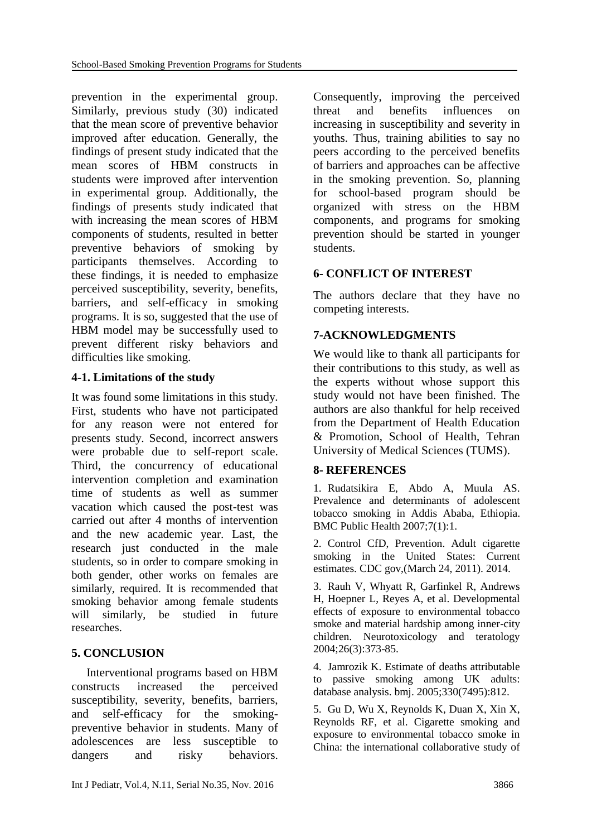prevention in the experimental group. Similarly, previous study (30) indicated that the mean score of preventive behavior improved after education. Generally, the findings of present study indicated that the mean scores of HBM constructs in students were improved after intervention in experimental group. Additionally, the findings of presents study indicated that with increasing the mean scores of HBM components of students, resulted in better preventive behaviors of smoking by participants themselves. According to these findings, it is needed to emphasize perceived susceptibility, severity, benefits, barriers, and self-efficacy in smoking programs. It is so, suggested that the use of HBM model may be successfully used to prevent different risky behaviors and difficulties like smoking.

# **4-1. Limitations of the study**

It was found some limitations in this study. First, students who have not participated for any reason were not entered for presents study. Second, incorrect answers were probable due to self-report scale. Third, the concurrency of educational intervention completion and examination time of students as well as summer vacation which caused the post-test was carried out after 4 months of intervention and the new academic year. Last, the research just conducted in the male students, so in order to compare smoking in both gender, other works on females are similarly, required. It is recommended that smoking behavior among female students will similarly, be studied in future researches.

# **5. CONCLUSION**

 Interventional programs based on HBM constructs increased the perceived susceptibility, severity, benefits, barriers, and self-efficacy for the smokingpreventive behavior in students. Many of adolescences are less susceptible to dangers and risky behaviors. Consequently, improving the perceived threat and benefits influences on increasing in susceptibility and severity in youths. Thus, training abilities to say no peers according to the perceived benefits of barriers and approaches can be affective in the smoking prevention. So, planning for school-based program should be organized with stress on the HBM components, and programs for smoking prevention should be started in younger students.

# **6- CONFLICT OF INTEREST**

The authors declare that they have no competing interests.

# **7-ACKNOWLEDGMENTS**

We would like to thank all participants for their contributions to this study, as well as the experts without whose support this study would not have been finished. The authors are also thankful for help received from the Department of Health Education & Promotion, School of Health, Tehran University of Medical Sciences (TUMS).

# **8- REFERENCES**

1. Rudatsikira E, Abdo A, Muula AS. Prevalence and determinants of adolescent tobacco smoking in Addis Ababa, Ethiopia. BMC Public Health 2007;7(1):1.

2. Control CfD, Prevention. Adult cigarette smoking in the United States: Current estimates. CDC gov,(March 24, 2011). 2014.

3. Rauh V, Whyatt R, Garfinkel R, Andrews H, Hoepner L, Reyes A, et al. Developmental effects of exposure to environmental tobacco smoke and material hardship among inner-city children. Neurotoxicology and teratology 2004;26(3):373-85.

4. Jamrozik K. Estimate of deaths attributable to passive smoking among UK adults: database analysis. bmj. 2005;330(7495):812.

5. Gu D, Wu X, Reynolds K, Duan X, Xin X, Reynolds RF, et al. Cigarette smoking and exposure to environmental tobacco smoke in China: the international collaborative study of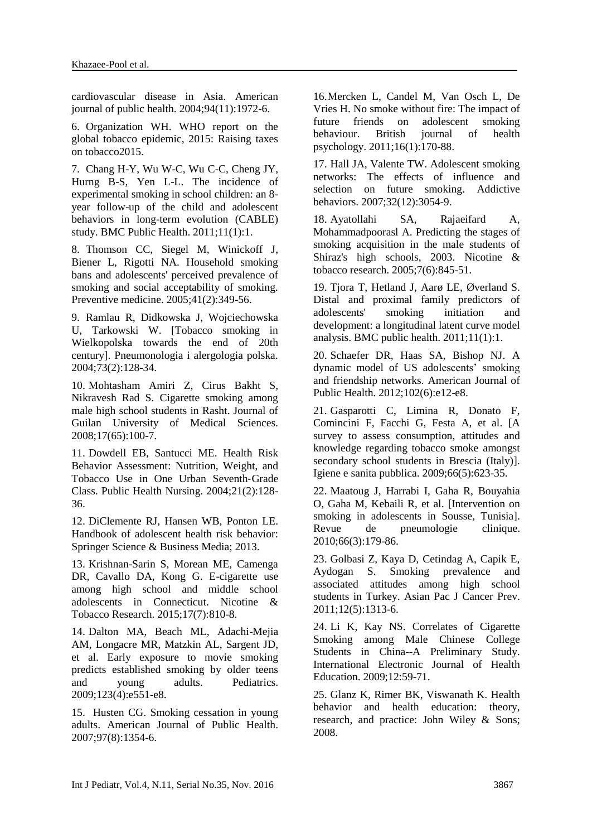cardiovascular disease in Asia. American journal of public health. 2004;94(11):1972-6.

6. Organization WH. WHO report on the global tobacco epidemic, 2015: Raising taxes on tobacco2015.

7. Chang H-Y, Wu W-C, Wu C-C, Cheng JY, Hurng B-S, Yen L-L. The incidence of experimental smoking in school children: an 8 year follow-up of the child and adolescent behaviors in long-term evolution (CABLE) study. BMC Public Health. 2011;11(1):1.

8. Thomson CC, Siegel M, Winickoff J, Biener L, Rigotti NA. Household smoking bans and adolescents' perceived prevalence of smoking and social acceptability of smoking. Preventive medicine. 2005;41(2):349-56.

9. Ramlau R, Didkowska J, Wojciechowska U, Tarkowski W. [Tobacco smoking in Wielkopolska towards the end of 20th century]. Pneumonologia i alergologia polska. 2004;73(2):128-34.

10. Mohtasham Amiri Z, Cirus Bakht S, Nikravesh Rad S. Cigarette smoking among male high school students in Rasht. Journal of Guilan University of Medical Sciences. 2008;17(65):100-7.

11. Dowdell EB, Santucci ME. Health Risk Behavior Assessment: Nutrition, Weight, and Tobacco Use in One Urban Seventh‐Grade Class. Public Health Nursing. 2004;21(2):128- 36.

12. DiClemente RJ, Hansen WB, Ponton LE. Handbook of adolescent health risk behavior: Springer Science & Business Media; 2013.

13. Krishnan-Sarin S, Morean ME, Camenga DR, Cavallo DA, Kong G. E-cigarette use among high school and middle school adolescents in Connecticut. Nicotine & Tobacco Research. 2015;17(7):810-8.

14. Dalton MA, Beach ML, Adachi-Mejia AM, Longacre MR, Matzkin AL, Sargent JD, et al. Early exposure to movie smoking predicts established smoking by older teens and young adults. Pediatrics. 2009;123(4):e551-e8.

15. Husten CG. Smoking cessation in young adults. American Journal of Public Health. 2007;97(8):1354-6.

16.Mercken L, Candel M, Van Osch L, De Vries H. No smoke without fire: The impact of future friends on adolescent smoking behaviour. British journal of health psychology. 2011;16(1):170-88.

17. Hall JA, Valente TW. Adolescent smoking networks: The effects of influence and selection on future smoking. Addictive behaviors. 2007;32(12):3054-9.

18. Ayatollahi SA, Rajaeifard A, Mohammadpoorasl A. Predicting the stages of smoking acquisition in the male students of Shiraz's high schools, 2003. Nicotine & tobacco research. 2005;7(6):845-51.

19. Tjora T, Hetland J, Aarø LE, Øverland S. Distal and proximal family predictors of adolescents' smoking initiation and development: a longitudinal latent curve model analysis. BMC public health. 2011;11(1):1.

20. Schaefer DR, Haas SA, Bishop NJ. A dynamic model of US adolescents' smoking and friendship networks. American Journal of Public Health. 2012;102(6):e12-e8.

21. Gasparotti C, Limina R, Donato F, Comincini F, Facchi G, Festa A, et al. [A survey to assess consumption, attitudes and knowledge regarding tobacco smoke amongst secondary school students in Brescia (Italy)]. Igiene e sanita pubblica. 2009;66(5):623-35.

22. Maatoug J, Harrabi I, Gaha R, Bouyahia O, Gaha M, Kebaili R, et al. [Intervention on smoking in adolescents in Sousse, Tunisia]. Revue de pneumologie clinique. 2010;66(3):179-86.

23. Golbasi Z, Kaya D, Cetindag A, Capik E, Aydogan S. Smoking prevalence and associated attitudes among high school students in Turkey. Asian Pac J Cancer Prev. 2011;12(5):1313-6.

24. Li K, Kay NS. Correlates of Cigarette Smoking among Male Chinese College Students in China--A Preliminary Study. International Electronic Journal of Health Education. 2009;12:59-71.

25. Glanz K, Rimer BK, Viswanath K. Health behavior and health education: theory, research, and practice: John Wiley & Sons; 2008.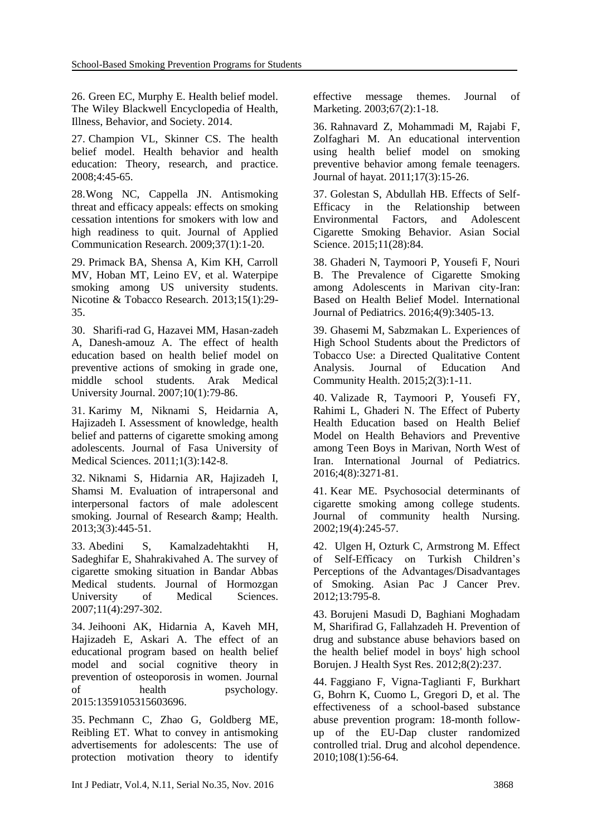26. Green EC, Murphy E. Health belief model. The Wiley Blackwell Encyclopedia of Health, Illness, Behavior, and Society. 2014.

27. Champion VL, Skinner CS. The health belief model. Health behavior and health education: Theory, research, and practice. 2008;4:45-65.

28.Wong NC, Cappella JN. Antismoking threat and efficacy appeals: effects on smoking cessation intentions for smokers with low and high readiness to quit. Journal of Applied Communication Research. 2009;37(1):1-20.

29. Primack BA, Shensa A, Kim KH, Carroll MV, Hoban MT, Leino EV, et al. Waterpipe smoking among US university students. Nicotine & Tobacco Research. 2013;15(1):29- 35.

30. Sharifi-rad G, Hazavei MM, Hasan-zadeh A, Danesh-amouz A. The effect of health education based on health belief model on preventive actions of smoking in grade one, middle school students. Arak Medical University Journal. 2007;10(1):79-86.

31. Karimy M, Niknami S, Heidarnia A, Hajizadeh I. Assessment of knowledge, health belief and patterns of cigarette smoking among adolescents. Journal of Fasa University of Medical Sciences. 2011;1(3):142-8.

32. Niknami S, Hidarnia AR, Hajizadeh I, Shamsi M. Evaluation of intrapersonal and interpersonal factors of male adolescent smoking. Journal of Research & amp; Health. 2013;3(3):445-51.

33. Abedini S, Kamalzadehtakhti H, Sadeghifar E, Shahrakivahed A. The survey of cigarette smoking situation in Bandar Abbas Medical students. Journal of Hormozgan University of Medical Sciences. 2007;11(4):297-302.

34. Jeihooni AK, Hidarnia A, Kaveh MH, Hajizadeh E, Askari A. The effect of an educational program based on health belief model and social cognitive theory in prevention of osteoporosis in women. Journal of health psychology. 2015:1359105315603696.

35. Pechmann C, Zhao G, Goldberg ME, Reibling ET. What to convey in antismoking advertisements for adolescents: The use of protection motivation theory to identify effective message themes. Journal of Marketing. 2003;67(2):1-18.

36. Rahnavard Z, Mohammadi M, Rajabi F, Zolfaghari M. An educational intervention using health belief model on smoking preventive behavior among female teenagers. Journal of hayat. 2011;17(3):15-26.

37. Golestan S, Abdullah HB. Effects of Self-Efficacy in the Relationship between Environmental Factors, and Adolescent Cigarette Smoking Behavior. Asian Social Science. 2015;11(28):84.

38. Ghaderi N, Taymoori P, Yousefi F, Nouri B. The Prevalence of Cigarette Smoking among Adolescents in Marivan city-Iran: Based on Health Belief Model. International Journal of Pediatrics. 2016;4(9):3405-13.

39. Ghasemi M, Sabzmakan L. Experiences of High School Students about the Predictors of Tobacco Use: a Directed Qualitative Content Analysis. Journal of Education And Community Health. 2015;2(3):1-11.

40. Valizade R, Taymoori P, Yousefi FY, Rahimi L, Ghaderi N. The Effect of Puberty Health Education based on Health Belief Model on Health Behaviors and Preventive among Teen Boys in Marivan, North West of Iran. International Journal of Pediatrics. 2016;4(8):3271-81.

41. Kear ME. Psychosocial determinants of cigarette smoking among college students. Journal of community health Nursing. 2002;19(4):245-57.

42. Ulgen H, Ozturk C, Armstrong M. Effect of Self-Efficacy on Turkish Children's Perceptions of the Advantages/Disadvantages of Smoking. Asian Pac J Cancer Prev. 2012;13:795-8.

43. Borujeni Masudi D, Baghiani Moghadam M, Sharifirad G, Fallahzadeh H. Prevention of drug and substance abuse behaviors based on the health belief model in boys' high school Borujen. J Health Syst Res. 2012;8(2):237.

44. Faggiano F, Vigna-Taglianti F, Burkhart G, Bohrn K, Cuomo L, Gregori D, et al. The effectiveness of a school-based substance abuse prevention program: 18-month followup of the EU-Dap cluster randomized controlled trial. Drug and alcohol dependence. 2010;108(1):56-64.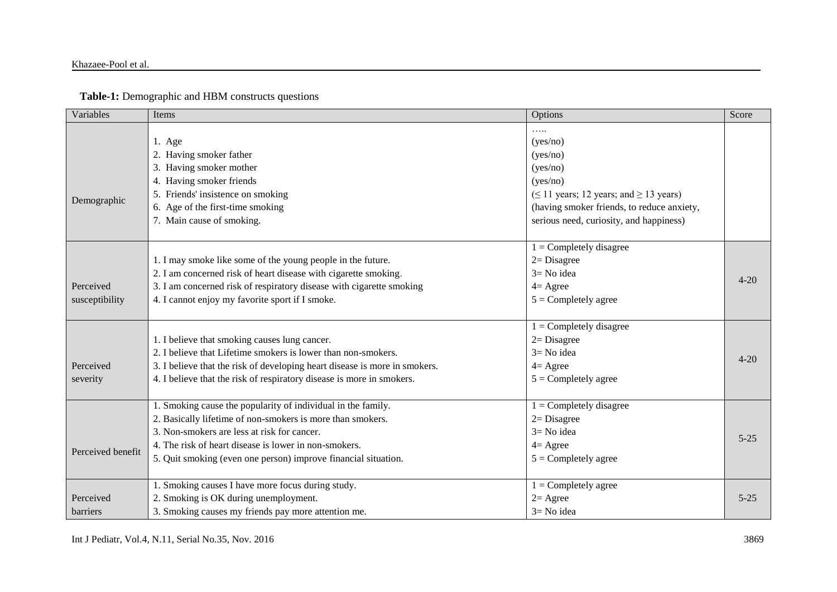#### Khazaee-Pool et al.

### **Table-1:** Demographic and HBM constructs questions

| Variables                   | Items                                                                                                                                                                                                                                                                                                | Options                                                                                                                                                                                                                        | Score    |
|-----------------------------|------------------------------------------------------------------------------------------------------------------------------------------------------------------------------------------------------------------------------------------------------------------------------------------------------|--------------------------------------------------------------------------------------------------------------------------------------------------------------------------------------------------------------------------------|----------|
| Demographic                 | 1. Age<br>2. Having smoker father<br>3. Having smoker mother<br>4. Having smoker friends<br>5. Friends' insistence on smoking<br>6. Age of the first-time smoking<br>7. Main cause of smoking.                                                                                                       | .<br>(yes/no)<br>(yes/no)<br>(yes/no)<br>(yes/no)<br>$( \leq 11 \text{ years}; 12 \text{ years}; \text{ and } \geq 13 \text{ years})$<br>(having smoker friends, to reduce anxiety,<br>serious need, curiosity, and happiness) |          |
| Perceived<br>susceptibility | 1. I may smoke like some of the young people in the future.<br>2. I am concerned risk of heart disease with cigarette smoking.<br>3. I am concerned risk of respiratory disease with cigarette smoking<br>4. I cannot enjoy my favorite sport if I smoke.                                            | $1 =$ Completely disagree<br>$2 = Disagree$<br>$3 = No$ idea<br>$4 = \text{Agree}$<br>$5 =$ Completely agree                                                                                                                   | $4 - 20$ |
| Perceived<br>severity       | 1. I believe that smoking causes lung cancer.<br>2. I believe that Lifetime smokers is lower than non-smokers.<br>3. I believe that the risk of developing heart disease is more in smokers.<br>4. I believe that the risk of respiratory disease is more in smokers.                                | $1 =$ Completely disagree<br>$2 = Disagree$<br>$3 = No$ idea<br>$4 = \text{Agree}$<br>$5 =$ Completely agree                                                                                                                   | $4 - 20$ |
| Perceived benefit           | 1. Smoking cause the popularity of individual in the family.<br>2. Basically lifetime of non-smokers is more than smokers.<br>3. Non-smokers are less at risk for cancer.<br>4. The risk of heart disease is lower in non-smokers.<br>5. Quit smoking (even one person) improve financial situation. | $1 =$ Completely disagree<br>$2 = Disagree$<br>$3 = No$ idea<br>$4 = \text{Agree}$<br>$5 =$ Completely agree                                                                                                                   | $5 - 25$ |
| Perceived<br>barriers       | 1. Smoking causes I have more focus during study.<br>2. Smoking is OK during unemployment.<br>3. Smoking causes my friends pay more attention me.                                                                                                                                                    | $1 =$ Completely agree<br>$2 = \text{Agree}$<br>$3 = No$ idea                                                                                                                                                                  | $5 - 25$ |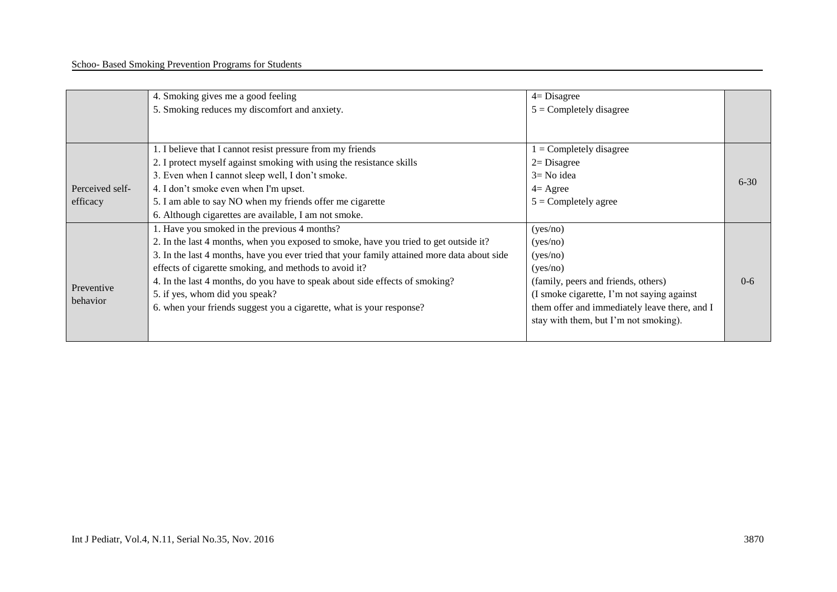|                 | 4. Smoking gives me a good feeling                                                          | $4 = Disagree$                                |          |
|-----------------|---------------------------------------------------------------------------------------------|-----------------------------------------------|----------|
|                 | 5. Smoking reduces my discomfort and anxiety.                                               | $5 =$ Completely disagree                     |          |
|                 |                                                                                             |                                               |          |
|                 |                                                                                             |                                               |          |
|                 | 1. I believe that I cannot resist pressure from my friends                                  | $1 =$ Completely disagree                     |          |
|                 | 2. I protect myself against smoking with using the resistance skills                        | $2 = Disagree$                                |          |
|                 | 3. Even when I cannot sleep well, I don't smoke.                                            | $3 = No$ idea                                 | $6 - 30$ |
| Perceived self- | 4. I don't smoke even when I'm upset.                                                       | $4 = \text{Agree}$                            |          |
| efficacy        | 5. I am able to say NO when my friends offer me cigarette                                   | $5 =$ Completely agree                        |          |
|                 | 6. Although cigarettes are available, I am not smoke.                                       |                                               |          |
|                 | 1. Have you smoked in the previous 4 months?                                                | (yes/no)                                      |          |
|                 | 2. In the last 4 months, when you exposed to smoke, have you tried to get outside it?       | (yes/no)                                      |          |
|                 | 3. In the last 4 months, have you ever tried that your family attained more data about side | (yes/no)                                      |          |
|                 | effects of cigarette smoking, and methods to avoid it?                                      | (yes/no)                                      |          |
|                 | 4. In the last 4 months, do you have to speak about side effects of smoking?                | (family, peers and friends, others)           | $0 - 6$  |
| Preventive      | 5. if yes, whom did you speak?                                                              | (I smoke cigarette, I'm not saying against    |          |
| behavior        | 6. when your friends suggest you a cigarette, what is your response?                        | them offer and immediately leave there, and I |          |
|                 |                                                                                             | stay with them, but I'm not smoking).         |          |
|                 |                                                                                             |                                               |          |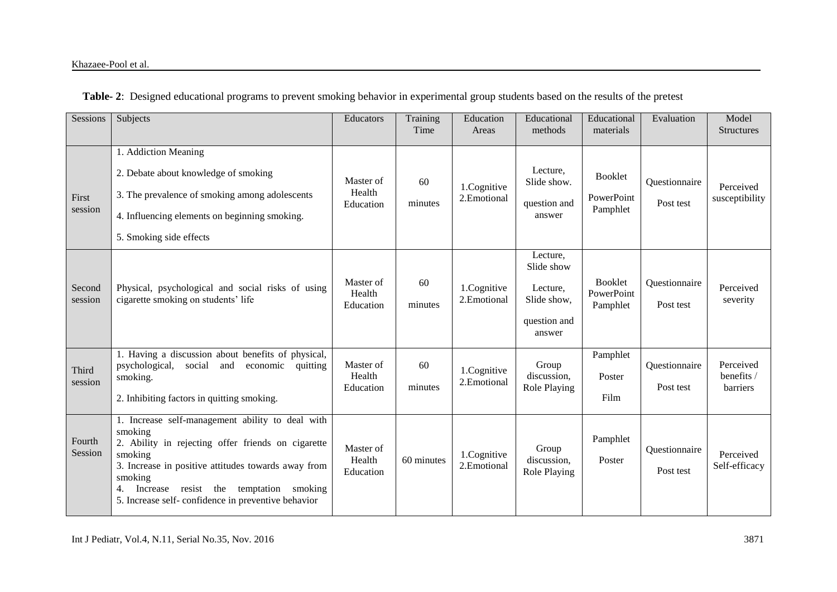|  |  |  | Table- 2: Designed educational programs to prevent smoking behavior in experimental group students based on the results of the pretest |
|--|--|--|----------------------------------------------------------------------------------------------------------------------------------------|
|  |  |  |                                                                                                                                        |

| Sessions          | Subjects                                                                                                                                                                                                                                                                                             | <b>Educators</b>                 | Training<br>Time | Education<br>Areas         | Educational<br>methods                                                      | Educational<br>materials                 | Evaluation                 | Model<br><b>Structures</b>          |
|-------------------|------------------------------------------------------------------------------------------------------------------------------------------------------------------------------------------------------------------------------------------------------------------------------------------------------|----------------------------------|------------------|----------------------------|-----------------------------------------------------------------------------|------------------------------------------|----------------------------|-------------------------------------|
| First<br>session  | 1. Addiction Meaning<br>2. Debate about knowledge of smoking<br>3. The prevalence of smoking among adolescents<br>4. Influencing elements on beginning smoking.<br>5. Smoking side effects                                                                                                           | Master of<br>Health<br>Education | 60<br>minutes    | 1.Cognitive<br>2.Emotional | Lecture.<br>Slide show.<br>question and<br>answer                           | <b>Booklet</b><br>PowerPoint<br>Pamphlet | Questionnaire<br>Post test | Perceived<br>susceptibility         |
| Second<br>session | Physical, psychological and social risks of using<br>cigarette smoking on students' life                                                                                                                                                                                                             | Master of<br>Health<br>Education | 60<br>minutes    | 1.Cognitive<br>2.Emotional | Lecture,<br>Slide show<br>Lecture,<br>Slide show,<br>question and<br>answer | <b>Booklet</b><br>PowerPoint<br>Pamphlet | Questionnaire<br>Post test | Perceived<br>severity               |
| Third<br>session  | 1. Having a discussion about benefits of physical,<br>social<br>and<br>economic<br>psychological,<br>quitting<br>smoking.<br>2. Inhibiting factors in quitting smoking.                                                                                                                              | Master of<br>Health<br>Education | 60<br>minutes    | 1.Cognitive<br>2.Emotional | Group<br>discussion,<br>Role Playing                                        | Pamphlet<br>Poster<br>Film               | Questionnaire<br>Post test | Perceived<br>benefits /<br>barriers |
| Fourth<br>Session | 1. Increase self-management ability to deal with<br>smoking<br>2. Ability in rejecting offer friends on cigarette<br>smoking<br>3. Increase in positive attitudes towards away from<br>smoking<br>Increase resist the temptation smoking<br>4.<br>5. Increase self-confidence in preventive behavior | Master of<br>Health<br>Education | 60 minutes       | 1.Cognitive<br>2.Emotional | Group<br>discussion,<br>Role Playing                                        | Pamphlet<br>Poster                       | Questionnaire<br>Post test | Perceived<br>Self-efficacy          |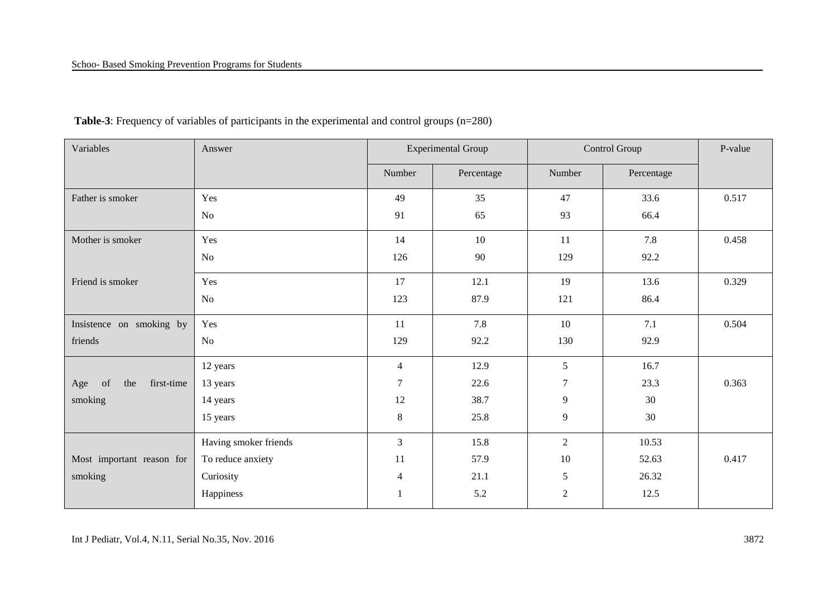#### Schoo- Based Smoking Prevention Programs for Students

| Variables                      | Answer                | <b>Experimental Group</b> |            | Control Group  | P-value    |       |
|--------------------------------|-----------------------|---------------------------|------------|----------------|------------|-------|
|                                |                       | Number                    | Percentage | Number         | Percentage |       |
| Father is smoker               | Yes                   | 49                        | 35         | 47             | 33.6       | 0.517 |
|                                | No                    | 91                        | 65         | 93             | 66.4       |       |
| Mother is smoker               | Yes                   | 14                        | 10         | 11             | 7.8        | 0.458 |
|                                | No                    | 126                       | 90         | 129            | 92.2       |       |
| Friend is smoker               | Yes                   | 17                        | 12.1       | 19             | 13.6       | 0.329 |
|                                | $\rm No$              | 123                       | 87.9       | 121            | 86.4       |       |
| Insistence on smoking by       | Yes                   | 11                        | 7.8        | 10             | 7.1        | 0.504 |
| friends                        | No                    | 129                       | 92.2       | 130            | 92.9       |       |
|                                | 12 years              | $\overline{4}$            | 12.9       | 5              | 16.7       |       |
| first-time<br>of<br>the<br>Age | 13 years              | $\tau$                    | 22.6       | 7              | 23.3       | 0.363 |
| smoking                        | 14 years              | 12                        | 38.7       | 9              | 30         |       |
|                                | 15 years              | $\,8\,$                   | 25.8       | 9              | 30         |       |
|                                | Having smoker friends | 3                         | 15.8       | $\overline{2}$ | 10.53      |       |
| Most important reason for      | To reduce anxiety     | 11                        | 57.9       | 10             | 52.63      | 0.417 |
| smoking                        | Curiosity             | $\overline{4}$            | 21.1       | 5              | 26.32      |       |
|                                | Happiness             | $\mathbf{1}$              | 5.2        | $\overline{2}$ | 12.5       |       |

# **Table-3**: Frequency of variables of participants in the experimental and control groups (n=280)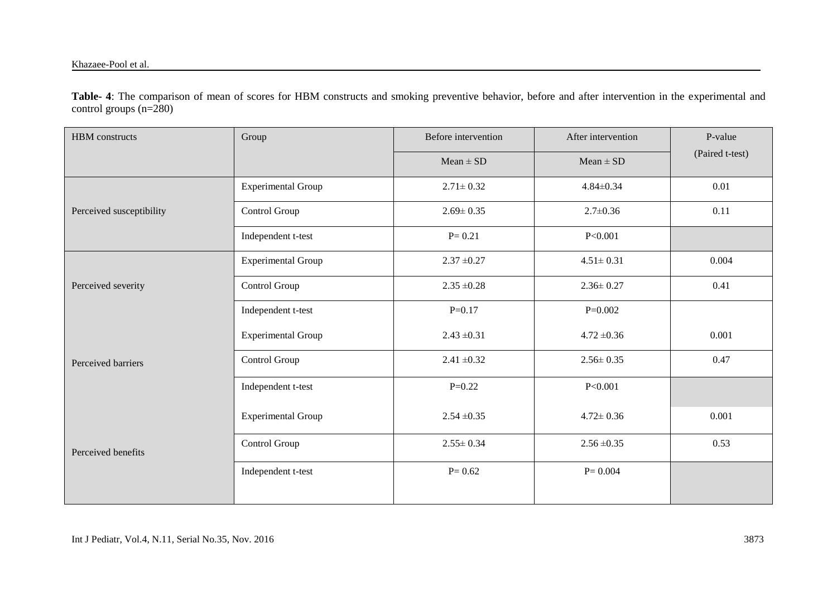**Table- 4**: The comparison of mean of scores for HBM constructs and smoking preventive behavior, before and after intervention in the experimental and control groups  $(n=280)$ 

| <b>HBM</b> constructs    | Group                     | Before intervention | After intervention | P-value         |  |
|--------------------------|---------------------------|---------------------|--------------------|-----------------|--|
|                          |                           | $Mean \pm SD$       | $Mean \pm SD$      | (Paired t-test) |  |
|                          | <b>Experimental Group</b> | $2.71 \pm 0.32$     | $4.84 \pm 0.34$    | 0.01            |  |
| Perceived susceptibility | Control Group             | $2.69 \pm 0.35$     | $2.7 \pm 0.36$     | 0.11            |  |
|                          | Independent t-test        | $P = 0.21$          | P<0.001            |                 |  |
|                          | <b>Experimental Group</b> | $2.37 \pm 0.27$     | $4.51 \pm 0.31$    | 0.004           |  |
| Perceived severity       | Control Group             | $2.35 \pm 0.28$     | $2.36 \pm 0.27$    | 0.41            |  |
|                          | Independent t-test        | $P=0.17$            | $P=0.002$          |                 |  |
|                          | <b>Experimental Group</b> | $2.43 \pm 0.31$     | $4.72 \pm 0.36$    | 0.001           |  |
| Perceived barriers       | Control Group             | $2.41 \pm 0.32$     | $2.56 \pm 0.35$    | 0.47            |  |
|                          | Independent t-test        | $P=0.22$            | P<0.001            |                 |  |
|                          | <b>Experimental Group</b> | $2.54 \pm 0.35$     | $4.72 \pm 0.36$    | 0.001           |  |
| Perceived benefits       | Control Group             | $2.55 \pm 0.34$     | $2.56 \pm 0.35$    | 0.53            |  |
|                          | Independent t-test        | $P = 0.62$          | $P = 0.004$        |                 |  |